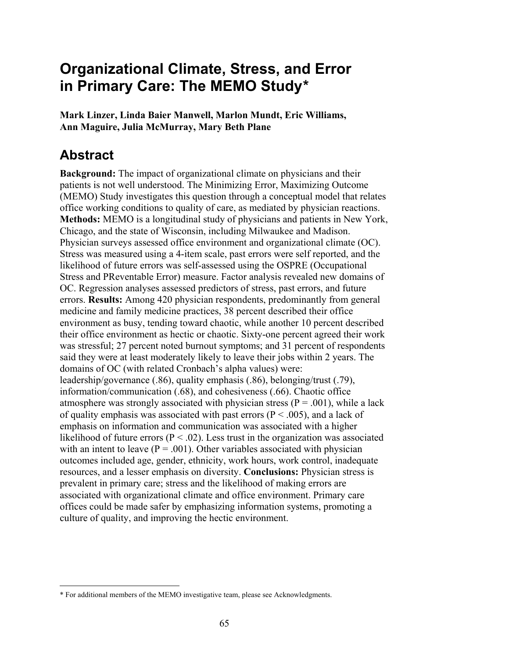# **Organizational Climate, Stress, and Error in Primary Care: The MEMO Study\***

**Mark Linzer, Linda Baier Manwell, Marlon Mundt, Eric Williams, Ann Maguire, Julia McMurray, Mary Beth Plane\***

# **Abstract**

 $\overline{a}$ 

**Background:** The impact of organizational climate on physicians and their patients is not well understood. The Minimizing Error, Maximizing Outcome (MEMO) Study investigates this question through a conceptual model that relates office working conditions to quality of care, as mediated by physician reactions. **Methods:** MEMO is a longitudinal study of physicians and patients in New York, Chicago, and the state of Wisconsin, including Milwaukee and Madison. Physician surveys assessed office environment and organizational climate (OC). Stress was measured using a 4-item scale, past errors were self reported, and the likelihood of future errors was self-assessed using the OSPRE (Occupational Stress and PReventable Error) measure. Factor analysis revealed new domains of OC. Regression analyses assessed predictors of stress, past errors, and future errors. **Results:** Among 420 physician respondents, predominantly from general medicine and family medicine practices, 38 percent described their office environment as busy, tending toward chaotic, while another 10 percent described their office environment as hectic or chaotic. Sixty-one percent agreed their work was stressful; 27 percent noted burnout symptoms; and 31 percent of respondents said they were at least moderately likely to leave their jobs within 2 years. The domains of OC (with related Cronbach's alpha values) were: leadership/governance (.86), quality emphasis (.86), belonging/trust (.79), information/communication (.68), and cohesiveness (.66). Chaotic office atmosphere was strongly associated with physician stress ( $P = .001$ ), while a lack of quality emphasis was associated with past errors ( $P < .005$ ), and a lack of emphasis on information and communication was associated with a higher likelihood of future errors ( $P < .02$ ). Less trust in the organization was associated with an intent to leave  $(P = .001)$ . Other variables associated with physician outcomes included age, gender, ethnicity, work hours, work control, inadequate resources, and a lesser emphasis on diversity. **Conclusions:** Physician stress is prevalent in primary care; stress and the likelihood of making errors are associated with organizational climate and office environment. Primary care offices could be made safer by emphasizing information systems, promoting a culture of quality, and improving the hectic environment.

<sup>\*</sup> For additional members of the MEMO investigative team, please see Acknowledgments.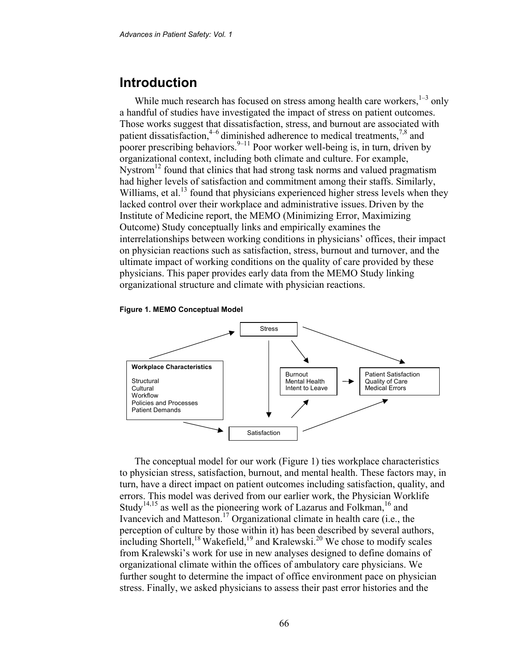## **Introduction**

While much research has focused on stress among health care workers,  $1-3$  only a handful of studies have investigated the impact of stress on patient outcomes. Those works suggest that dissatisfaction, stress, and burnout are associated with patient dissatisfaction,<sup>4–6</sup> diminished adherence to medical treatments,<sup>7,8</sup> and poorer prescribing behaviors.<sup>9–11</sup> Poor worker well-being is, in turn, driven by organizational context, including both climate and culture. For example, Nystrom<sup>12</sup> found that clinics that had strong task norms and valued pragmatism had higher levels of satisfaction and commitment among their staffs. Similarly, Williams, et al.<sup>13</sup> found that physicians experienced higher stress levels when they lacked control over their workplace and administrative issues. Driven by the Institute of Medicine report, the MEMO (Minimizing Error, Maximizing Outcome) Study conceptually links and empirically examines the interrelationships between working conditions in physicians' offices, their impact on physician reactions such as satisfaction, stress, burnout and turnover, and the ultimate impact of working conditions on the quality of care provided by these physicians. This paper provides early data from the MEMO Study linking organizational structure and climate with physician reactions.

### **Figure 1. MEMO Conceptual Model**



The conceptual model for our work (Figure 1) ties workplace characteristics to physician stress, satisfaction, burnout, and mental health. These factors may, in turn, have a direct impact on patient outcomes including satisfaction, quality, and errors. This model was derived from our earlier work, the Physician Worklife Study<sup>14,15</sup> as well as the pioneering work of Lazarus and Folkman,<sup>16</sup> and Ivancevich and Matteson.<sup>17</sup> Organizational climate in health care (i.e., the perception of culture by those within it) has been described by several authors, including Shortell,<sup>18</sup> Wakefield,<sup>19</sup> and Kralewski.<sup>20</sup> We chose to modify scales from Kralewski's work for use in new analyses designed to define domains of organizational climate within the offices of ambulatory care physicians. We further sought to determine the impact of office environment pace on physician stress. Finally, we asked physicians to assess their past error histories and the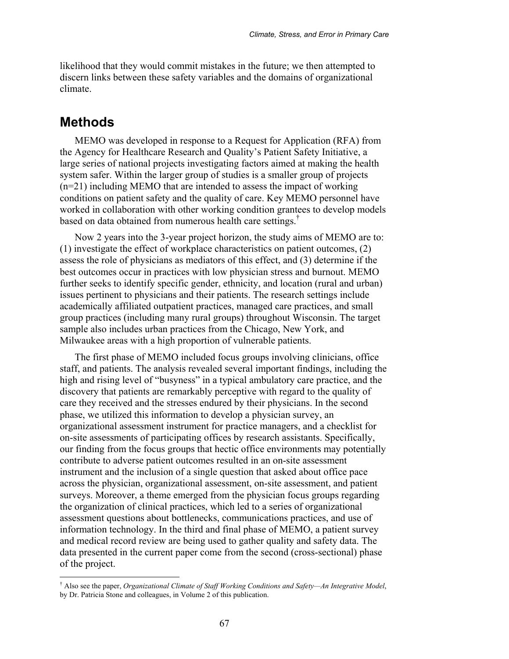likelihood that they would commit mistakes in the future; we then attempted to discern links between these safety variables and the domains of organizational climate.

## **Methods**

1

MEMO was developed in response to a Request for Application (RFA) from the Agency for Healthcare Research and Quality's Patient Safety Initiative, a large series of national projects investigating factors aimed at making the health system safer. Within the larger group of studies is a smaller group of projects (n=21) including MEMO that are intended to assess the impact of working conditions on patient safety and the quality of care. Key MEMO personnel have worked in collaboration with other working condition grantees to develop models based on data obtained from numerous health care settings.†

Now 2 years into the 3-year project horizon, the study aims of MEMO are to: (1) investigate the effect of workplace characteristics on patient outcomes, (2) assess the role of physicians as mediators of this effect, and (3) determine if the best outcomes occur in practices with low physician stress and burnout. MEMO further seeks to identify specific gender, ethnicity, and location (rural and urban) issues pertinent to physicians and their patients. The research settings include academically affiliated outpatient practices, managed care practices, and small group practices (including many rural groups) throughout Wisconsin. The target sample also includes urban practices from the Chicago, New York, and Milwaukee areas with a high proportion of vulnerable patients.

The first phase of MEMO included focus groups involving clinicians, office staff, and patients. The analysis revealed several important findings, including the high and rising level of "busyness" in a typical ambulatory care practice, and the discovery that patients are remarkably perceptive with regard to the quality of care they received and the stresses endured by their physicians. In the second phase, we utilized this information to develop a physician survey, an organizational assessment instrument for practice managers, and a checklist for on-site assessments of participating offices by research assistants. Specifically, our finding from the focus groups that hectic office environments may potentially contribute to adverse patient outcomes resulted in an on-site assessment instrument and the inclusion of a single question that asked about office pace across the physician, organizational assessment, on-site assessment, and patient surveys. Moreover, a theme emerged from the physician focus groups regarding the organization of clinical practices, which led to a series of organizational assessment questions about bottlenecks, communications practices, and use of information technology. In the third and final phase of MEMO, a patient survey and medical record review are being used to gather quality and safety data. The data presented in the current paper come from the second (cross-sectional) phase of the project.

<sup>†</sup> Also see the paper, *Organizational Climate of Staff Working Conditions and Safety—An Integrative Model*, by Dr. Patricia Stone and colleagues, in Volume 2 of this publication.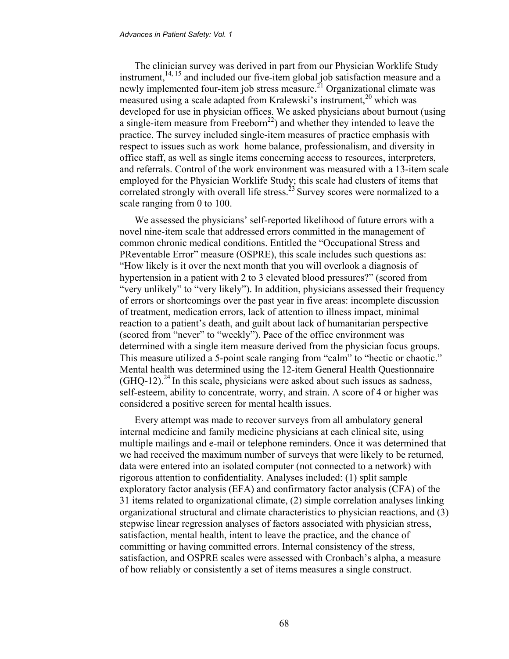The clinician survey was derived in part from our Physician Worklife Study instrument,<sup>14, 15</sup> and included our five-item global job satisfaction measure and a newly implemented four-item job stress measure.<sup> $21$ </sup> Organizational climate was measured using a scale adapted from Kralewski's instrument,<sup>20</sup> which was developed for use in physician offices. We asked physicians about burnout (using a single-item measure from Freeborn<sup>22</sup>) and whether they intended to leave the practice. The survey included single-item measures of practice emphasis with respect to issues such as work–home balance, professionalism, and diversity in office staff, as well as single items concerning access to resources, interpreters, and referrals. Control of the work environment was measured with a 13-item scale employed for the Physician Worklife Study; this scale had clusters of items that correlated strongly with overall life stress.<sup>23</sup> Survey scores were normalized to a scale ranging from 0 to 100.

We assessed the physicians' self-reported likelihood of future errors with a novel nine-item scale that addressed errors committed in the management of common chronic medical conditions. Entitled the "Occupational Stress and PReventable Error" measure (OSPRE), this scale includes such questions as: "How likely is it over the next month that you will overlook a diagnosis of hypertension in a patient with 2 to 3 elevated blood pressures?" (scored from "very unlikely" to "very likely"). In addition, physicians assessed their frequency of errors or shortcomings over the past year in five areas: incomplete discussion of treatment, medication errors, lack of attention to illness impact, minimal reaction to a patient's death, and guilt about lack of humanitarian perspective (scored from "never" to "weekly"). Pace of the office environment was determined with a single item measure derived from the physician focus groups. This measure utilized a 5-point scale ranging from "calm" to "hectic or chaotic." Mental health was determined using the 12-item General Health Questionnaire  $(GHO-12)$ <sup>24</sup>. In this scale, physicians were asked about such issues as sadness, self-esteem, ability to concentrate, worry, and strain. A score of 4 or higher was considered a positive screen for mental health issues.

Every attempt was made to recover surveys from all ambulatory general internal medicine and family medicine physicians at each clinical site, using multiple mailings and e-mail or telephone reminders. Once it was determined that we had received the maximum number of surveys that were likely to be returned, data were entered into an isolated computer (not connected to a network) with rigorous attention to confidentiality. Analyses included: (1) split sample exploratory factor analysis (EFA) and confirmatory factor analysis (CFA) of the 31 items related to organizational climate, (2) simple correlation analyses linking organizational structural and climate characteristics to physician reactions, and (3) stepwise linear regression analyses of factors associated with physician stress, satisfaction, mental health, intent to leave the practice, and the chance of committing or having committed errors. Internal consistency of the stress, satisfaction, and OSPRE scales were assessed with Cronbach's alpha, a measure of how reliably or consistently a set of items measures a single construct.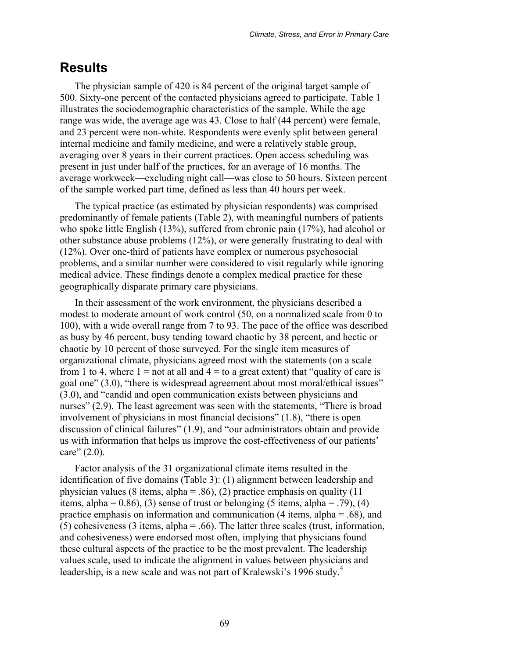## **Results**

The physician sample of 420 is 84 percent of the original target sample of 500. Sixty-one percent of the contacted physicians agreed to participate. Table 1 illustrates the sociodemographic characteristics of the sample. While the age range was wide, the average age was 43. Close to half (44 percent) were female, and 23 percent were non-white. Respondents were evenly split between general internal medicine and family medicine, and were a relatively stable group, averaging over 8 years in their current practices. Open access scheduling was present in just under half of the practices, for an average of 16 months. The average workweek—excluding night call—was close to 50 hours. Sixteen percent of the sample worked part time, defined as less than 40 hours per week.

The typical practice (as estimated by physician respondents) was comprised predominantly of female patients (Table 2), with meaningful numbers of patients who spoke little English (13%), suffered from chronic pain (17%), had alcohol or other substance abuse problems (12%), or were generally frustrating to deal with (12%). Over one-third of patients have complex or numerous psychosocial problems, and a similar number were considered to visit regularly while ignoring medical advice. These findings denote a complex medical practice for these geographically disparate primary care physicians.

In their assessment of the work environment, the physicians described a modest to moderate amount of work control (50, on a normalized scale from 0 to 100), with a wide overall range from 7 to 93. The pace of the office was described as busy by 46 percent, busy tending toward chaotic by 38 percent, and hectic or chaotic by 10 percent of those surveyed. For the single item measures of organizational climate, physicians agreed most with the statements (on a scale from 1 to 4, where  $1 =$  not at all and  $4 =$  to a great extent) that "quality of care is goal one" (3.0), "there is widespread agreement about most moral/ethical issues" (3.0), and "candid and open communication exists between physicians and nurses" (2.9). The least agreement was seen with the statements, "There is broad involvement of physicians in most financial decisions" (1.8), "there is open discussion of clinical failures" (1.9), and "our administrators obtain and provide us with information that helps us improve the cost-effectiveness of our patients' care" (2.0).

Factor analysis of the 31 organizational climate items resulted in the identification of five domains (Table 3): (1) alignment between leadership and physician values (8 items, alpha = .86), (2) practice emphasis on quality (11 items, alpha =  $(0.86)$ ,  $(3)$  sense of trust or belonging  $(5$  items, alpha =  $.79)$ ,  $(4)$ practice emphasis on information and communication (4 items, alpha = .68), and (5) cohesiveness (3 items, alpha = .66). The latter three scales (trust, information, and cohesiveness) were endorsed most often, implying that physicians found these cultural aspects of the practice to be the most prevalent. The leadership values scale, used to indicate the alignment in values between physicians and leadership, is a new scale and was not part of Kralewski's 1996 study.<sup>4</sup>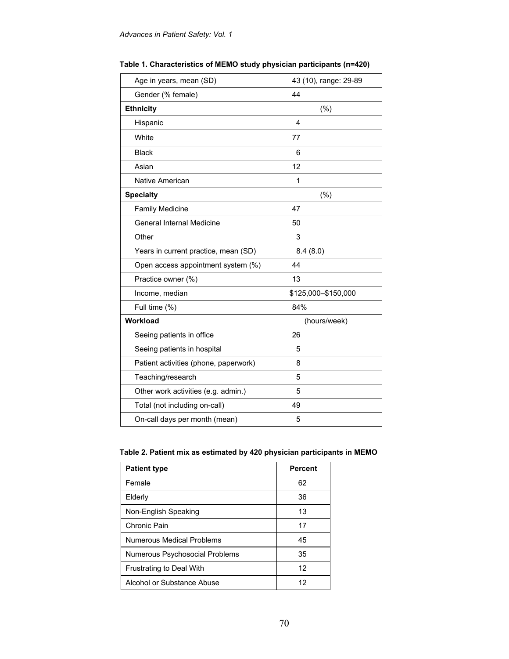| Age in years, mean (SD)               | 43 (10), range: 29-89 |
|---------------------------------------|-----------------------|
| Gender (% female)                     | 44                    |
| <b>Ethnicity</b><br>$(\% )$           |                       |
| Hispanic                              | 4                     |
| White                                 | 77                    |
| <b>Black</b>                          | 6                     |
| Asian                                 | 12                    |
| Native American                       | 1                     |
| <b>Specialty</b>                      | (%)                   |
| <b>Family Medicine</b>                | 47                    |
| General Internal Medicine             | 50                    |
| Other                                 | 3                     |
| Years in current practice, mean (SD)  | 8.4(8.0)              |
| Open access appointment system (%)    | 44                    |
| Practice owner (%)                    | 13                    |
| Income, median                        | \$125,000-\$150,000   |
| Full time (%)                         | 84%                   |
| Workload                              | (hours/week)          |
| Seeing patients in office             | 26                    |
| Seeing patients in hospital           | 5                     |
| Patient activities (phone, paperwork) | 8                     |
| Teaching/research                     | 5                     |
| Other work activities (e.g. admin.)   | 5                     |
| Total (not including on-call)         | 49                    |
| On-call days per month (mean)         | 5                     |

**Table 1. Characteristics of MEMO study physician participants (n=420)** 

| <b>Patient type</b>             | <b>Percent</b> |
|---------------------------------|----------------|
| Female                          | 62             |
| Elderly                         | 36             |
| Non-English Speaking            | 13             |
| Chronic Pain                    | 17             |
| Numerous Medical Problems       | 45             |
| Numerous Psychosocial Problems  | 35             |
| <b>Frustrating to Deal With</b> | 12             |
| Alcohol or Substance Abuse      | 12             |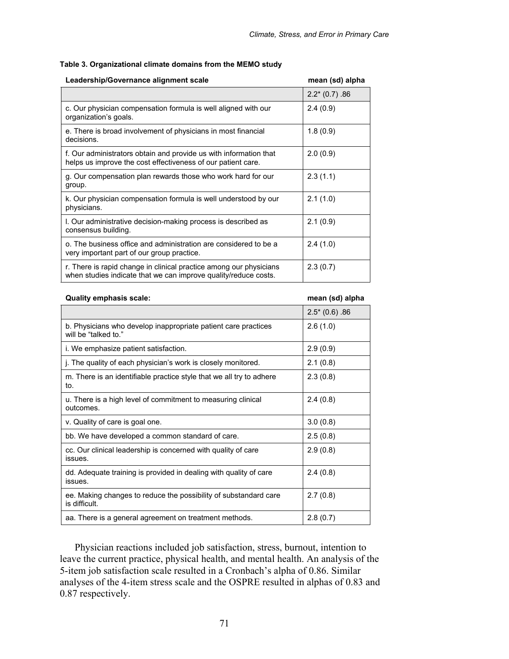### **Table 3. Organizational climate domains from the MEMO study**

| Leadership/Governance alignment scale                                                                                                 | mean (sd) alpha |
|---------------------------------------------------------------------------------------------------------------------------------------|-----------------|
|                                                                                                                                       | $2.2*(0.7) .86$ |
| c. Our physician compensation formula is well aligned with our<br>organization's goals.                                               | 2.4(0.9)        |
| e. There is broad involvement of physicians in most financial<br>decisions.                                                           | 1.8(0.9)        |
| f. Our administrators obtain and provide us with information that<br>helps us improve the cost effectiveness of our patient care.     | 2.0(0.9)        |
| g. Our compensation plan rewards those who work hard for our<br>group.                                                                | 2.3(1.1)        |
| k. Our physician compensation formula is well understood by our<br>physicians.                                                        | 2.1(1.0)        |
| I. Our administrative decision-making process is described as<br>consensus building.                                                  | 2.1(0.9)        |
| o. The business office and administration are considered to be a<br>very important part of our group practice.                        | 2.4(1.0)        |
| r. There is rapid change in clinical practice among our physicians<br>when studies indicate that we can improve quality/reduce costs. | 2.3(0.7)        |

#### **Quality emphasis scale: mean (sd) alpha**

|                                                                                        | $2.5*(0.6) .86$ |
|----------------------------------------------------------------------------------------|-----------------|
| b. Physicians who develop inappropriate patient care practices<br>will be "talked to." | 2.6(1.0)        |
| i. We emphasize patient satisfaction.                                                  | 2.9(0.9)        |
| j. The quality of each physician's work is closely monitored.                          | 2.1(0.8)        |
| m. There is an identifiable practice style that we all try to adhere<br>to.            | 2.3(0.8)        |
| u. There is a high level of commitment to measuring clinical<br>outcomes.              | 2.4(0.8)        |
| v. Quality of care is goal one.                                                        | 3.0(0.8)        |
| bb. We have developed a common standard of care.                                       | 2.5(0.8)        |
| cc. Our clinical leadership is concerned with quality of care<br>issues.               | 2.9(0.8)        |
| dd. Adequate training is provided in dealing with quality of care<br>issues.           | 2.4(0.8)        |
| ee. Making changes to reduce the possibility of substandard care<br>is difficult.      | 2.7(0.8)        |
| aa. There is a general agreement on treatment methods.                                 | 2.8(0.7)        |

Physician reactions included job satisfaction, stress, burnout, intention to leave the current practice, physical health, and mental health. An analysis of the 5-item job satisfaction scale resulted in a Cronbach's alpha of 0.86. Similar analyses of the 4-item stress scale and the OSPRE resulted in alphas of 0.83 and 0.87 respectively.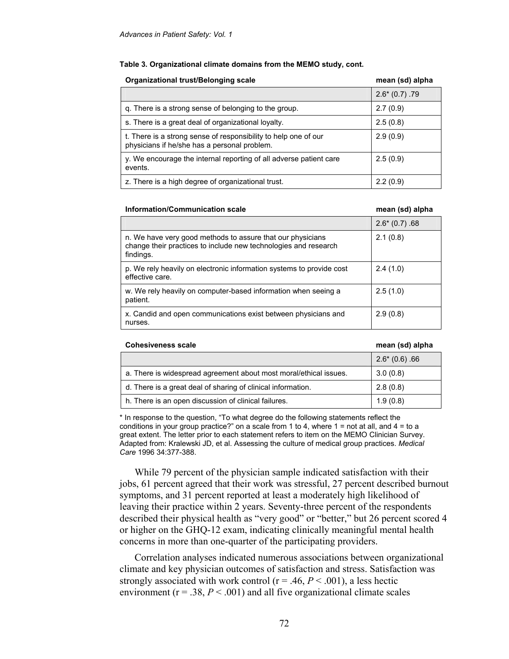#### **Table 3. Organizational climate domains from the MEMO study, cont.**

| <b>Organizational trust/Belonging scale</b>                                                                     | mean (sd) alpha |
|-----------------------------------------------------------------------------------------------------------------|-----------------|
|                                                                                                                 | $2.6*(0.7) .79$ |
| q. There is a strong sense of belonging to the group.                                                           | 2.7(0.9)        |
| s. There is a great deal of organizational loyalty.                                                             | 2.5(0.8)        |
| t. There is a strong sense of responsibility to help one of our<br>physicians if he/she has a personal problem. | 2.9(0.9)        |
| y. We encourage the internal reporting of all adverse patient care<br>events.                                   | 2.5(0.9)        |
| z. There is a high degree of organizational trust.                                                              | 2.2(0.9)        |

#### **Information/Communication scale** mean (sd) alpha

|                                                                                                                                            | $2.6*(0.7)$ .68 |
|--------------------------------------------------------------------------------------------------------------------------------------------|-----------------|
| n. We have very good methods to assure that our physicians<br>change their practices to include new technologies and research<br>findings. | 2.1(0.8)        |
| p. We rely heavily on electronic information systems to provide cost<br>effective care.                                                    | 2.4(1.0)        |
| w. We rely heavily on computer-based information when seeing a<br>patient.                                                                 | 2.5(1.0)        |
| x. Candid and open communications exist between physicians and<br>nurses.                                                                  | 2.9(0.8)        |

#### **Cohesiveness scale mean (sd) alpha**

|                                                                   | $2.6*(0.6)$ .66 |
|-------------------------------------------------------------------|-----------------|
| a. There is widespread agreement about most moral/ethical issues. | 3.0(0.8)        |
| d. There is a great deal of sharing of clinical information.      | 2.8(0.8)        |
| h. There is an open discussion of clinical failures.              | 1.9(0.8)        |

\* In response to the question, "To what degree do the following statements reflect the conditions in your group practice?" on a scale from 1 to 4, where  $1 = not$  at all, and  $4 = to$  a great extent. The letter prior to each statement refers to item on the MEMO Clinician Survey. Adapted from: Kralewski JD, et al. Assessing the culture of medical group practices. *Medical Care* 1996 34:377-388.

While 79 percent of the physician sample indicated satisfaction with their jobs, 61 percent agreed that their work was stressful, 27 percent described burnout symptoms, and 31 percent reported at least a moderately high likelihood of leaving their practice within 2 years. Seventy-three percent of the respondents described their physical health as "very good" or "better," but 26 percent scored 4 or higher on the GHQ-12 exam, indicating clinically meaningful mental health concerns in more than one-quarter of the participating providers.

Correlation analyses indicated numerous associations between organizational climate and key physician outcomes of satisfaction and stress. Satisfaction was strongly associated with work control ( $r = .46, P < .001$ ), a less hectic environment ( $r = .38$ ,  $P < .001$ ) and all five organizational climate scales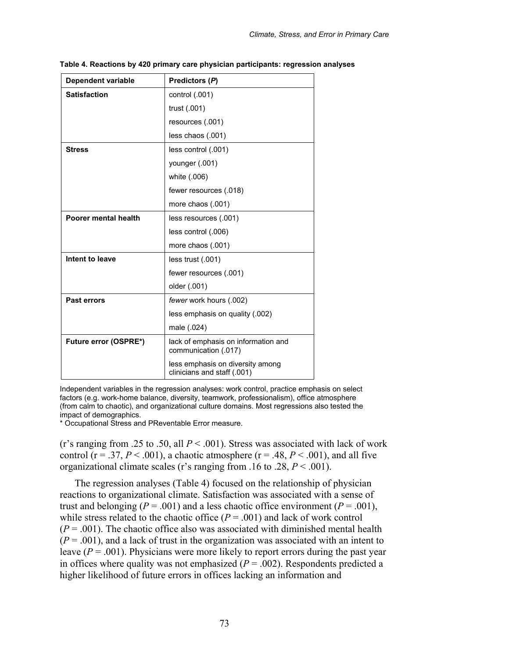| <b>Dependent variable</b> | Predictors (P)                                                  |
|---------------------------|-----------------------------------------------------------------|
| <b>Satisfaction</b>       | control (.001)                                                  |
|                           | trust (.001)                                                    |
|                           | resources (.001)                                                |
|                           | less chaos (.001)                                               |
| <b>Stress</b>             | less control (.001)                                             |
|                           | younger (.001)                                                  |
|                           | white (.006)                                                    |
|                           | fewer resources (.018)                                          |
|                           | more chaos (.001)                                               |
| Poorer mental health      | less resources (.001)                                           |
|                           | less control (.006)                                             |
|                           | more chaos (.001)                                               |
| Intent to leave           | less trust (.001)                                               |
|                           | fewer resources (.001)                                          |
|                           | older (.001)                                                    |
| Past errors               | fewer work hours (.002)                                         |
|                           | less emphasis on quality (.002)                                 |
|                           | male (.024)                                                     |
| Future error (OSPRE*)     | lack of emphasis on information and<br>communication (.017)     |
|                           | less emphasis on diversity among<br>clinicians and staff (.001) |

**Table 4. Reactions by 420 primary care physician participants: regression analyses** 

Independent variables in the regression analyses: work control, practice emphasis on select factors (e.g. work-home balance, diversity, teamwork, professionalism), office atmosphere (from calm to chaotic), and organizational culture domains. Most regressions also tested the impact of demographics.

\* Occupational Stress and PReventable Error measure.

(r's ranging from .25 to .50, all  $P < .001$ ). Stress was associated with lack of work control ( $r = .37$ ,  $P < .001$ ), a chaotic atmosphere ( $r = .48$ ,  $P < .001$ ), and all five organizational climate scales (r's ranging from .16 to .28, *P* < .001).

The regression analyses (Table 4) focused on the relationship of physician reactions to organizational climate. Satisfaction was associated with a sense of trust and belonging ( $P = .001$ ) and a less chaotic office environment ( $P = .001$ ), while stress related to the chaotic office  $(P = .001)$  and lack of work control  $(P = .001)$ . The chaotic office also was associated with diminished mental health  $(P = .001)$ , and a lack of trust in the organization was associated with an intent to leave  $(P = .001)$ . Physicians were more likely to report errors during the past year in offices where quality was not emphasized  $(P = .002)$ . Respondents predicted a higher likelihood of future errors in offices lacking an information and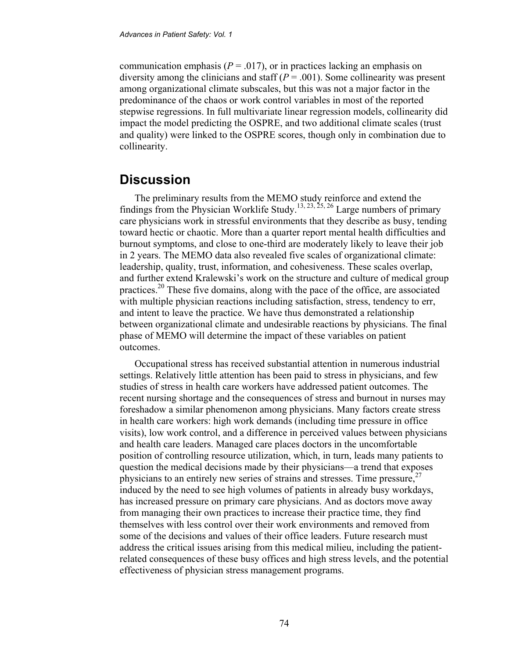communication emphasis ( $P = .017$ ), or in practices lacking an emphasis on diversity among the clinicians and staff  $(P = .001)$ . Some collinearity was present among organizational climate subscales, but this was not a major factor in the predominance of the chaos or work control variables in most of the reported stepwise regressions. In full multivariate linear regression models, collinearity did impact the model predicting the OSPRE, and two additional climate scales (trust and quality) were linked to the OSPRE scores, though only in combination due to collinearity.

## **Discussion**

The preliminary results from the MEMO study reinforce and extend the findings from the Physician Worklife Study.<sup>13, 23, 25, 26</sup> Large numbers of primary care physicians work in stressful environments that they describe as busy, tending toward hectic or chaotic. More than a quarter report mental health difficulties and burnout symptoms, and close to one-third are moderately likely to leave their job in 2 years. The MEMO data also revealed five scales of organizational climate: leadership, quality, trust, information, and cohesiveness. These scales overlap, and further extend Kralewski's work on the structure and culture of medical group practices.20 These five domains, along with the pace of the office, are associated with multiple physician reactions including satisfaction, stress, tendency to err, and intent to leave the practice. We have thus demonstrated a relationship between organizational climate and undesirable reactions by physicians. The final phase of MEMO will determine the impact of these variables on patient outcomes.

Occupational stress has received substantial attention in numerous industrial settings. Relatively little attention has been paid to stress in physicians, and few studies of stress in health care workers have addressed patient outcomes. The recent nursing shortage and the consequences of stress and burnout in nurses may foreshadow a similar phenomenon among physicians. Many factors create stress in health care workers: high work demands (including time pressure in office visits), low work control, and a difference in perceived values between physicians and health care leaders. Managed care places doctors in the uncomfortable position of controlling resource utilization, which, in turn, leads many patients to question the medical decisions made by their physicians—a trend that exposes physicians to an entirely new series of strains and stresses. Time pressure,  $27$ induced by the need to see high volumes of patients in already busy workdays, has increased pressure on primary care physicians. And as doctors move away from managing their own practices to increase their practice time, they find themselves with less control over their work environments and removed from some of the decisions and values of their office leaders. Future research must address the critical issues arising from this medical milieu, including the patientrelated consequences of these busy offices and high stress levels, and the potential effectiveness of physician stress management programs.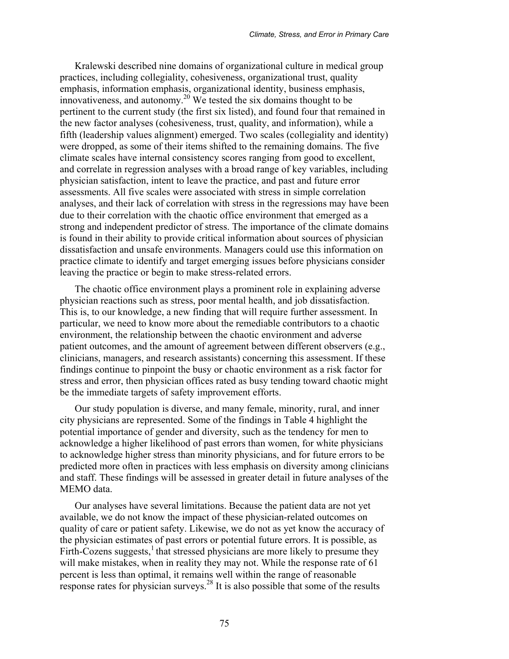Kralewski described nine domains of organizational culture in medical group practices, including collegiality, cohesiveness, organizational trust, quality emphasis, information emphasis, organizational identity, business emphasis, innovativeness, and autonomy.<sup>20</sup> We tested the six domains thought to be pertinent to the current study (the first six listed), and found four that remained in the new factor analyses (cohesiveness, trust, quality, and information), while a fifth (leadership values alignment) emerged. Two scales (collegiality and identity) were dropped, as some of their items shifted to the remaining domains. The five climate scales have internal consistency scores ranging from good to excellent, and correlate in regression analyses with a broad range of key variables, including physician satisfaction, intent to leave the practice, and past and future error assessments. All five scales were associated with stress in simple correlation analyses, and their lack of correlation with stress in the regressions may have been due to their correlation with the chaotic office environment that emerged as a strong and independent predictor of stress. The importance of the climate domains is found in their ability to provide critical information about sources of physician dissatisfaction and unsafe environments. Managers could use this information on practice climate to identify and target emerging issues before physicians consider leaving the practice or begin to make stress-related errors.

The chaotic office environment plays a prominent role in explaining adverse physician reactions such as stress, poor mental health, and job dissatisfaction. This is, to our knowledge, a new finding that will require further assessment. In particular, we need to know more about the remediable contributors to a chaotic environment, the relationship between the chaotic environment and adverse patient outcomes, and the amount of agreement between different observers (e.g., clinicians, managers, and research assistants) concerning this assessment. If these findings continue to pinpoint the busy or chaotic environment as a risk factor for stress and error, then physician offices rated as busy tending toward chaotic might be the immediate targets of safety improvement efforts.

Our study population is diverse, and many female, minority, rural, and inner city physicians are represented. Some of the findings in Table 4 highlight the potential importance of gender and diversity, such as the tendency for men to acknowledge a higher likelihood of past errors than women, for white physicians to acknowledge higher stress than minority physicians, and for future errors to be predicted more often in practices with less emphasis on diversity among clinicians and staff. These findings will be assessed in greater detail in future analyses of the MEMO data.

Our analyses have several limitations. Because the patient data are not yet available, we do not know the impact of these physician-related outcomes on quality of care or patient safety. Likewise, we do not as yet know the accuracy of the physician estimates of past errors or potential future errors. It is possible, as Firth-Cozens suggests, $<sup>1</sup>$  that stressed physicians are more likely to presume they</sup> will make mistakes, when in reality they may not. While the response rate of 61 percent is less than optimal, it remains well within the range of reasonable response rates for physician surveys.<sup>28</sup> It is also possible that some of the results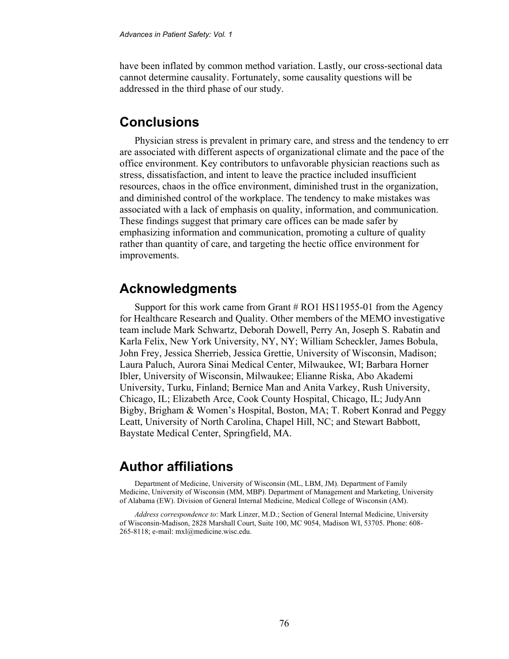have been inflated by common method variation. Lastly, our cross-sectional data cannot determine causality. Fortunately, some causality questions will be addressed in the third phase of our study.

## **Conclusions**

Physician stress is prevalent in primary care, and stress and the tendency to err are associated with different aspects of organizational climate and the pace of the office environment. Key contributors to unfavorable physician reactions such as stress, dissatisfaction, and intent to leave the practice included insufficient resources, chaos in the office environment, diminished trust in the organization, and diminished control of the workplace. The tendency to make mistakes was associated with a lack of emphasis on quality, information, and communication. These findings suggest that primary care offices can be made safer by emphasizing information and communication, promoting a culture of quality rather than quantity of care, and targeting the hectic office environment for improvements.

## **Acknowledgments**

Support for this work came from Grant # RO1 HS11955-01 from the Agency for Healthcare Research and Quality. Other members of the MEMO investigative team include Mark Schwartz, Deborah Dowell, Perry An, Joseph S. Rabatin and Karla Felix, New York University, NY, NY; William Scheckler, James Bobula, John Frey, Jessica Sherrieb, Jessica Grettie, University of Wisconsin, Madison; Laura Paluch, Aurora Sinai Medical Center, Milwaukee, WI; Barbara Horner Ibler, University of Wisconsin, Milwaukee; Elianne Riska, Abo Akademi University, Turku, Finland; Bernice Man and Anita Varkey, Rush University, Chicago, IL; Elizabeth Arce, Cook County Hospital, Chicago, IL; JudyAnn Bigby, Brigham & Women's Hospital, Boston, MA; T. Robert Konrad and Peggy Leatt, University of North Carolina, Chapel Hill, NC; and Stewart Babbott, Baystate Medical Center, Springfield, MA.

## **Author affiliations**

Department of Medicine, University of Wisconsin (ML, LBM, JM). Department of Family Medicine, University of Wisconsin (MM, MBP). Department of Management and Marketing, University of Alabama (EW). Division of General Internal Medicine, Medical College of Wisconsin (AM).

*Address correspondence to*: Mark Linzer, M.D.; Section of General Internal Medicine, University of Wisconsin-Madison, 2828 Marshall Court, Suite 100, MC 9054, Madison WI, 53705. Phone: 608- 265-8118; e-mail: mxl@medicine.wisc.edu.